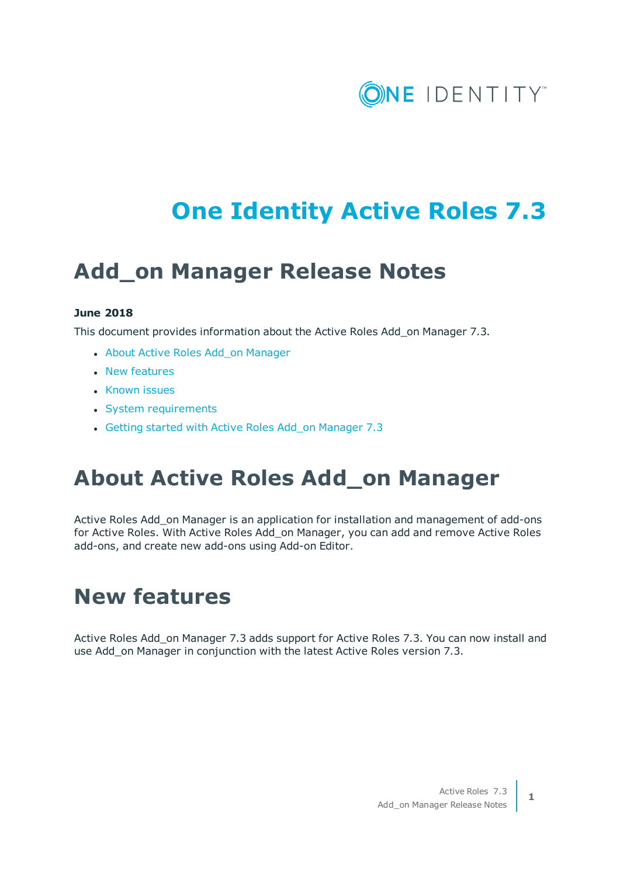

# **One Identity Active Roles 7.3**

## **Add\_on Manager Release Notes**

#### **June 2018**

This document provides information about the Active Roles Add\_on Manager 7.3.

- About Active [Roles Add\\_on](#page-0-0) Manager
- New [features](#page-0-1)
- [Known](#page-1-0) issues
- System [requirements](#page-3-0)
- <span id="page-0-0"></span>• Getting started [with Active](#page-4-0) Roles Add on Manager 7.3

### **About Active Roles Add\_on Manager**

Active Roles Add\_on Manager is an application for installation and management of add-ons for Active Roles. With Active Roles Add\_on Manager, you can add and remove Active Roles add-ons, and create new add-ons using Add-on Editor.

### <span id="page-0-1"></span>**New features**

Active Roles Add\_on Manager 7.3 adds support for Active Roles 7.3. You can now install and use Add\_on Manager in conjunction with the latest Active Roles version 7.3.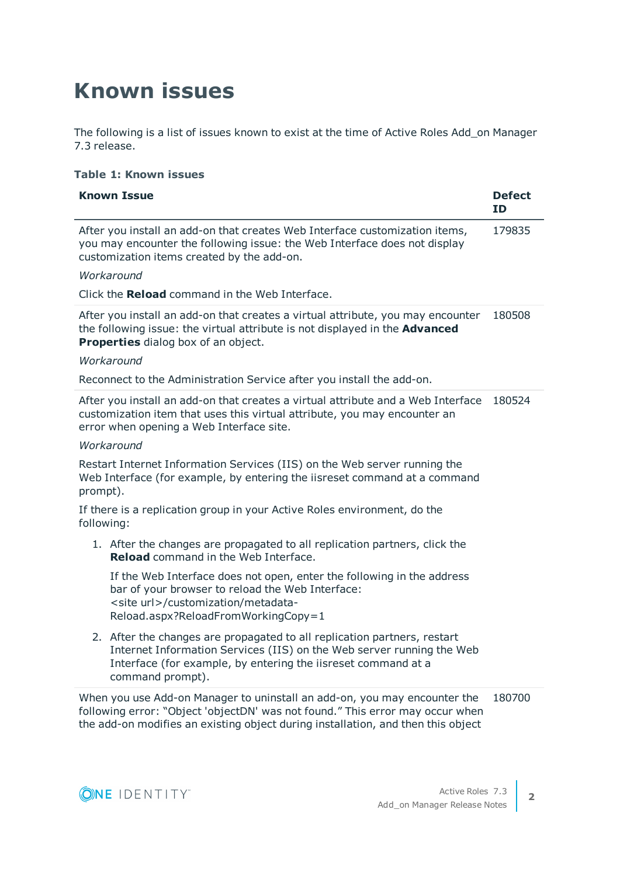# <span id="page-1-0"></span>**Known issues**

The following is a list of issues known to exist at the time of Active Roles Add\_on Manager 7.3 release.

#### **Table 1: Known issues**

| <b>Known Issue</b>                                                                                                                                                                                                                             | <b>Defect</b><br><b>ID</b> |  |  |  |
|------------------------------------------------------------------------------------------------------------------------------------------------------------------------------------------------------------------------------------------------|----------------------------|--|--|--|
| After you install an add-on that creates Web Interface customization items,<br>you may encounter the following issue: the Web Interface does not display<br>customization items created by the add-on.                                         |                            |  |  |  |
| Workaround                                                                                                                                                                                                                                     |                            |  |  |  |
| Click the Reload command in the Web Interface.                                                                                                                                                                                                 |                            |  |  |  |
| After you install an add-on that creates a virtual attribute, you may encounter<br>the following issue: the virtual attribute is not displayed in the <b>Advanced</b><br>Properties dialog box of an object.                                   |                            |  |  |  |
| Workaround                                                                                                                                                                                                                                     |                            |  |  |  |
| Reconnect to the Administration Service after you install the add-on.                                                                                                                                                                          |                            |  |  |  |
| After you install an add-on that creates a virtual attribute and a Web Interface<br>180524<br>customization item that uses this virtual attribute, you may encounter an<br>error when opening a Web Interface site.                            |                            |  |  |  |
| Workaround                                                                                                                                                                                                                                     |                            |  |  |  |
| Restart Internet Information Services (IIS) on the Web server running the<br>Web Interface (for example, by entering the iisreset command at a command<br>prompt).                                                                             |                            |  |  |  |
| If there is a replication group in your Active Roles environment, do the<br>following:                                                                                                                                                         |                            |  |  |  |
| 1. After the changes are propagated to all replication partners, click the<br><b>Reload</b> command in the Web Interface.                                                                                                                      |                            |  |  |  |
| If the Web Interface does not open, enter the following in the address<br>bar of your browser to reload the Web Interface:<br><site url="">/customization/metadata-<br/>Reload.aspx?ReloadFromWorkingCopy=1</site>                             |                            |  |  |  |
| 2. After the changes are propagated to all replication partners, restart<br>Internet Information Services (IIS) on the Web server running the Web<br>Interface (for example, by entering the iisreset command at a<br>command prompt).         |                            |  |  |  |
| When you use Add-on Manager to uninstall an add-on, you may encounter the<br>following error: "Object 'objectDN' was not found." This error may occur when<br>the add-on modifies an existing object during installation, and then this object |                            |  |  |  |

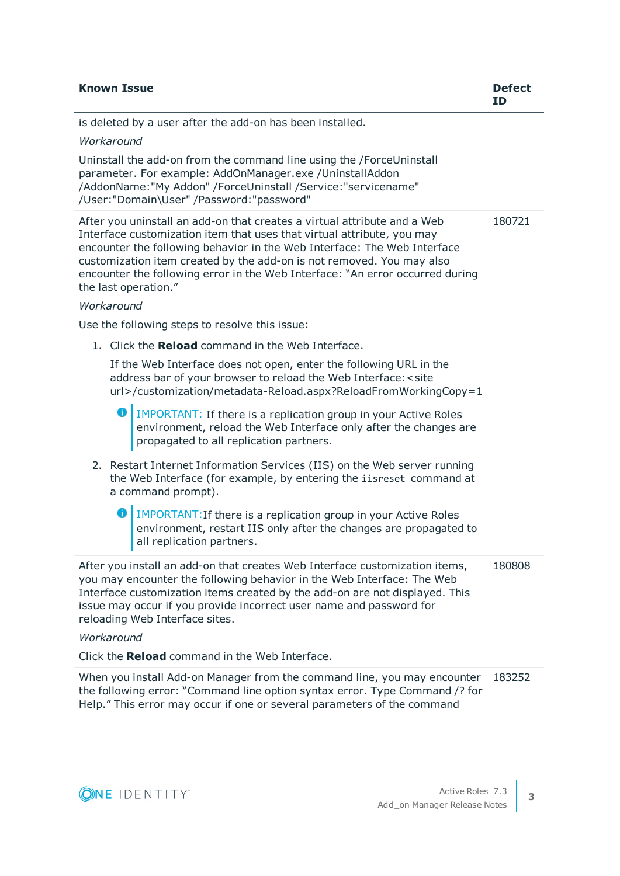| <b>Known Issue</b> |   |                                                                                                                                                                                                                                                                                                                                                                                                                  | <b>Defect</b><br>ID |
|--------------------|---|------------------------------------------------------------------------------------------------------------------------------------------------------------------------------------------------------------------------------------------------------------------------------------------------------------------------------------------------------------------------------------------------------------------|---------------------|
|                    |   | is deleted by a user after the add-on has been installed.                                                                                                                                                                                                                                                                                                                                                        |                     |
| Workaround         |   |                                                                                                                                                                                                                                                                                                                                                                                                                  |                     |
|                    |   | Uninstall the add-on from the command line using the /ForceUninstall<br>parameter. For example: AddOnManager.exe /UninstallAddon<br>/AddonName:"My Addon" /ForceUninstall /Service:"servicename"<br>/User:"Domain\User" /Password:"password"                                                                                                                                                                     |                     |
| Workaround         |   | After you uninstall an add-on that creates a virtual attribute and a Web<br>Interface customization item that uses that virtual attribute, you may<br>encounter the following behavior in the Web Interface: The Web Interface<br>customization item created by the add-on is not removed. You may also<br>encounter the following error in the Web Interface: "An error occurred during<br>the last operation." | 180721              |
|                    |   | Use the following steps to resolve this issue:                                                                                                                                                                                                                                                                                                                                                                   |                     |
|                    |   |                                                                                                                                                                                                                                                                                                                                                                                                                  |                     |
|                    |   | 1. Click the Reload command in the Web Interface.<br>If the Web Interface does not open, enter the following URL in the<br>address bar of your browser to reload the Web Interface: < site<br>url>/customization/metadata-Reload.aspx?ReloadFromWorkingCopy=1                                                                                                                                                    |                     |
|                    | 0 | IMPORTANT: If there is a replication group in your Active Roles<br>environment, reload the Web Interface only after the changes are<br>propagated to all replication partners.                                                                                                                                                                                                                                   |                     |
|                    |   | 2. Restart Internet Information Services (IIS) on the Web server running<br>the Web Interface (for example, by entering the iisreset command at<br>a command prompt).                                                                                                                                                                                                                                            |                     |
|                    | 0 | IMPORTANT: If there is a replication group in your Active Roles<br>environment, restart IIS only after the changes are propagated to<br>all replication partners.                                                                                                                                                                                                                                                |                     |
|                    |   | After you install an add-on that creates Web Interface customization items,<br>you may encounter the following behavior in the Web Interface: The Web<br>Interface customization items created by the add-on are not displayed. This<br>issue may occur if you provide incorrect user name and password for<br>reloading Web Interface sites.                                                                    | 180808              |
| Workaround         |   |                                                                                                                                                                                                                                                                                                                                                                                                                  |                     |
|                    |   | Click the Reload command in the Web Interface.                                                                                                                                                                                                                                                                                                                                                                   |                     |
|                    |   | When you install Add-on Manager from the command line, you may encounter<br>the following error: "Command line option syntax error. Type Command /? for<br>Help." This error may occur if one or several parameters of the command                                                                                                                                                                               | 183252              |

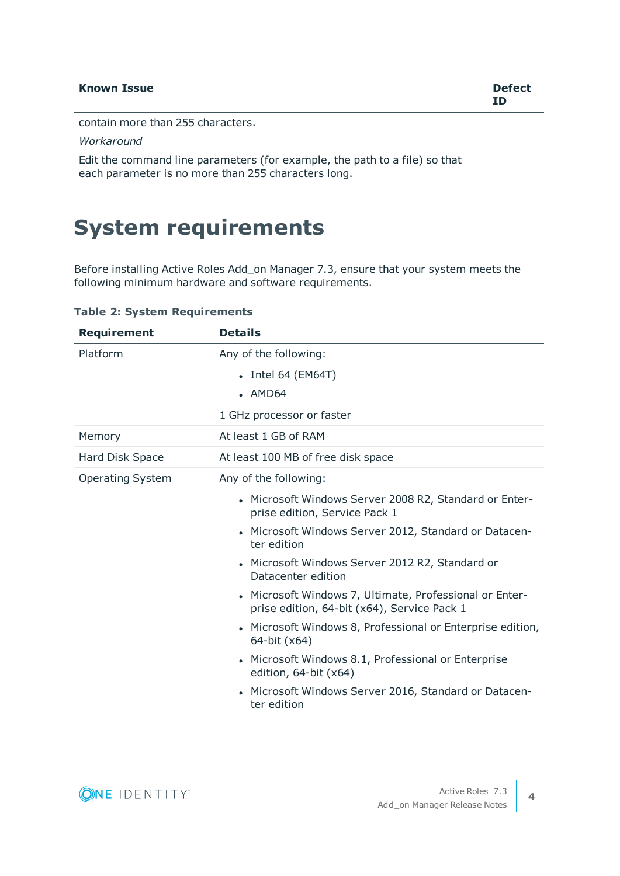contain more than 255 characters.

#### *Workaround*

Edit the command line parameters (for example, the path to a file) so that each parameter is no more than 255 characters long.

### <span id="page-3-0"></span>**System requirements**

Before installing Active Roles Add\_on Manager 7.3, ensure that your system meets the following minimum hardware and software requirements.

#### **Table 2: System Requirements**

| <b>Details</b>                                                                                         |
|--------------------------------------------------------------------------------------------------------|
| Any of the following:                                                                                  |
| $\bullet$ Intel 64 (EM64T)                                                                             |
| $-MD64$                                                                                                |
| 1 GHz processor or faster                                                                              |
| At least 1 GB of RAM                                                                                   |
| At least 100 MB of free disk space                                                                     |
| Any of the following:                                                                                  |
| • Microsoft Windows Server 2008 R2, Standard or Enter-<br>prise edition, Service Pack 1                |
| Microsoft Windows Server 2012, Standard or Datacen-<br>ter edition                                     |
| Microsoft Windows Server 2012 R2, Standard or<br>Datacenter edition                                    |
| • Microsoft Windows 7, Ultimate, Professional or Enter-<br>prise edition, 64-bit (x64), Service Pack 1 |
| • Microsoft Windows 8, Professional or Enterprise edition,<br>64-bit (x64)                             |
| Microsoft Windows 8.1, Professional or Enterprise<br>edition, 64-bit (x64)                             |
| Microsoft Windows Server 2016, Standard or Datacen-<br>ter edition                                     |
|                                                                                                        |

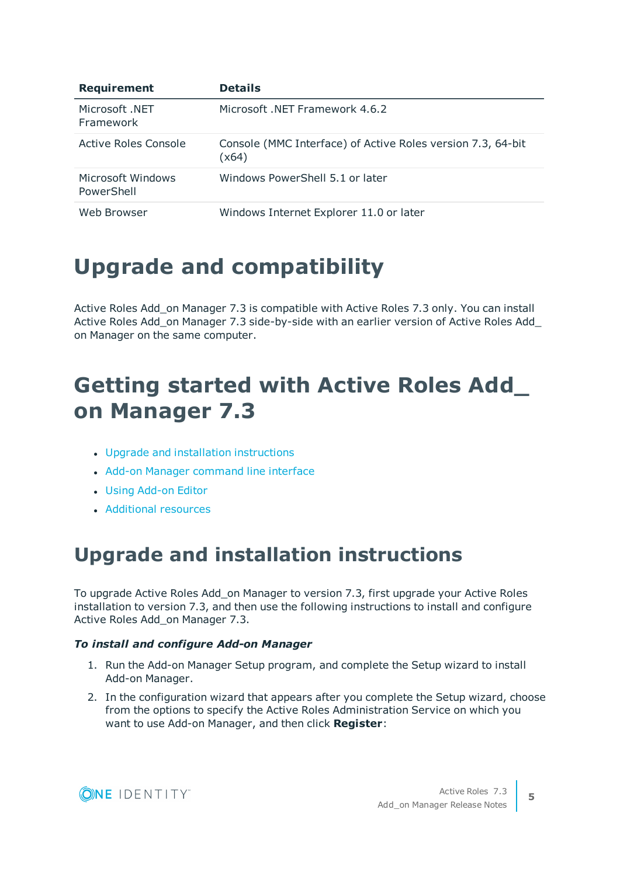| <b>Requirement</b>              | <b>Details</b>                                                       |
|---------------------------------|----------------------------------------------------------------------|
| Microsoft NET<br>Framework      | Microsoft .NET Framework 4.6.2                                       |
| Active Roles Console            | Console (MMC Interface) of Active Roles version 7.3, 64-bit<br>(x64) |
| Microsoft Windows<br>PowerShell | Windows PowerShell 5.1 or later                                      |
| Web Browser                     | Windows Internet Explorer 11.0 or later                              |

## **Upgrade and compatibility**

Active Roles Add\_on Manager 7.3 is compatible with Active Roles 7.3 only. You can install Active Roles Add\_on Manager 7.3 side-by-side with an earlier version of Active Roles Add on Manager on the same computer.

## <span id="page-4-0"></span>**Getting started with Active Roles Add\_ on Manager 7.3**

- Upgrade and installation [instructions](#page-4-1)
- Add-on Manager [command](#page-5-0) line interface
- **.** Using [Add-on](#page-5-1) Editor
- **[Additional](#page-9-0) resources**

### <span id="page-4-1"></span>**Upgrade and installation instructions**

To upgrade Active Roles Add\_on Manager to version 7.3, first upgrade your Active Roles installation to version 7.3, and then use the following instructions to install and configure Active Roles Add\_on Manager 7.3.

#### *To install and configure Add-on Manager*

- 1. Run the Add-on Manager Setup program, and complete the Setup wizard to install Add-on Manager.
- 2. In the configuration wizard that appears after you complete the Setup wizard, choose from the options to specify the Active Roles Administration Service on which you want to use Add-on Manager, and then click **Register**:

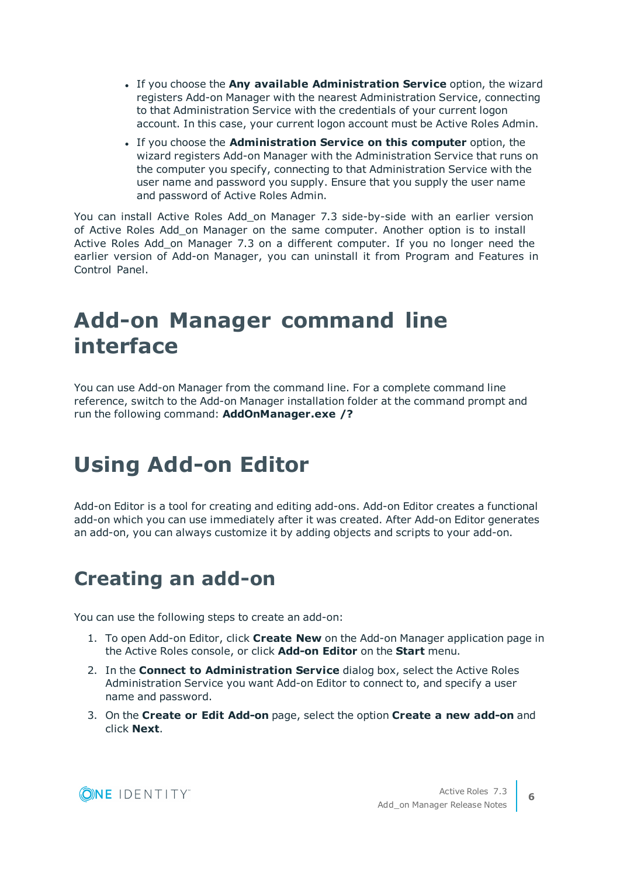- <sup>l</sup> If you choose the **Any available Administration Service** option, the wizard registers Add-on Manager with the nearest Administration Service, connecting to that Administration Service with the credentials of your current logon account. In this case, your current logon account must be Active Roles Admin.
- <sup>l</sup> If you choose the **Administration Service on this computer** option, the wizard registers Add-on Manager with the Administration Service that runs on the computer you specify, connecting to that Administration Service with the user name and password you supply. Ensure that you supply the user name and password of Active Roles Admin.

You can install Active Roles Add\_on Manager 7.3 side-by-side with an earlier version of Active Roles Add\_on Manager on the same computer. Another option is to install Active Roles Add\_on Manager 7.3 on a different computer. If you no longer need the earlier version of Add-on Manager, you can uninstall it from Program and Features in Control Panel.

## <span id="page-5-0"></span>**Add-on Manager command line interface**

You can use Add-on Manager from the command line. For a complete command line reference, switch to the Add-on Manager installation folder at the command prompt and run the following command: **AddOnManager.exe /?**

## <span id="page-5-1"></span>**Using Add-on Editor**

Add-on Editor is a tool for creating and editing add-ons. Add-on Editor creates a functional add-on which you can use immediately after it was created. After Add-on Editor generates an add-on, you can always customize it by adding objects and scripts to your add-on.

### **Creating an add-on**

You can use the following steps to create an add-on:

- 1. To open Add-on Editor, click **Create New** on the Add-on Manager application page in the Active Roles console, or click **Add-on Editor** on the **Start** menu.
- 2. In the **Connect to Administration Service** dialog box, select the Active Roles Administration Service you want Add-on Editor to connect to, and specify a user name and password.
- 3. On the **Create or Edit Add-on** page, select the option **Create a new add-on** and click **Next**.

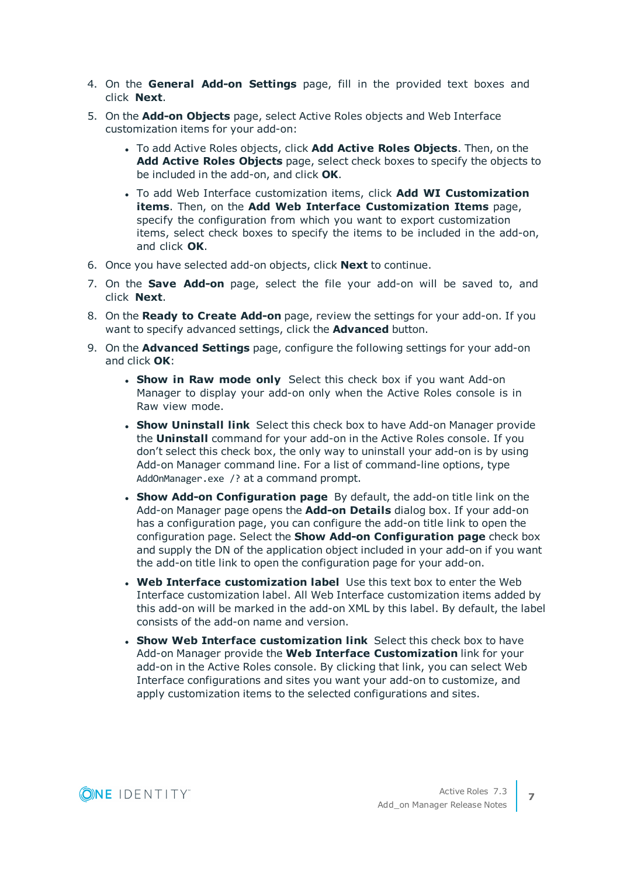- 4. On the **General Add-on Settings** page, fill in the provided text boxes and click **Next**.
- 5. On the **Add-on Objects** page, select Active Roles objects and Web Interface customization items for your add-on:
	- <sup>l</sup> To add Active Roles objects, click **Add Active Roles Objects**. Then, on the **Add Active Roles Objects** page, select check boxes to specify the objects to be included in the add-on, and click **OK**.
	- <sup>l</sup> To add Web Interface customization items, click **Add WI Customization items**. Then, on the **Add Web Interface Customization Items** page, specify the configuration from which you want to export customization items, select check boxes to specify the items to be included in the add-on, and click **OK**.
- 6. Once you have selected add-on objects, click **Next** to continue.
- 7. On the **Save Add-on** page, select the file your add-on will be saved to, and click **Next**.
- 8. On the **Ready to Create Add-on** page, review the settings for your add-on. If you want to specify advanced settings, click the **Advanced** button.
- 9. On the **Advanced Settings** page, configure the following settings for your add-on and click **OK**:
	- **. Show in Raw mode only** Select this check box if you want Add-on Manager to display your add-on only when the Active Roles console is in Raw view mode.
	- **. Show Uninstall link** Select this check box to have Add-on Manager provide the **Uninstall** command for your add-on in the Active Roles console. If you don't select this check box, the only way to uninstall your add-on is by using Add-on Manager command line. For a list of command-line options, type AddOnManager.exe /? at a command prompt.
	- <sup>l</sup> **Show Add-on Configuration page** By default, the add-on title link on the Add-on Manager page opens the **Add-on Details** dialog box. If your add-on has a configuration page, you can configure the add-on title link to open the configuration page. Select the **Show Add-on Configuration page** check box and supply the DN of the application object included in your add-on if you want the add-on title link to open the configuration page for your add-on.
	- <sup>l</sup> **Web Interface customization label** Use this text box to enter the Web Interface customization label. All Web Interface customization items added by this add-on will be marked in the add-on XML by this label. By default, the label consists of the add-on name and version.
	- <sup>l</sup> **Show Web Interface customization link** Select this check box to have Add-on Manager provide the **Web Interface Customization** link for your add-on in the Active Roles console. By clicking that link, you can select Web Interface configurations and sites you want your add-on to customize, and apply customization items to the selected configurations and sites.

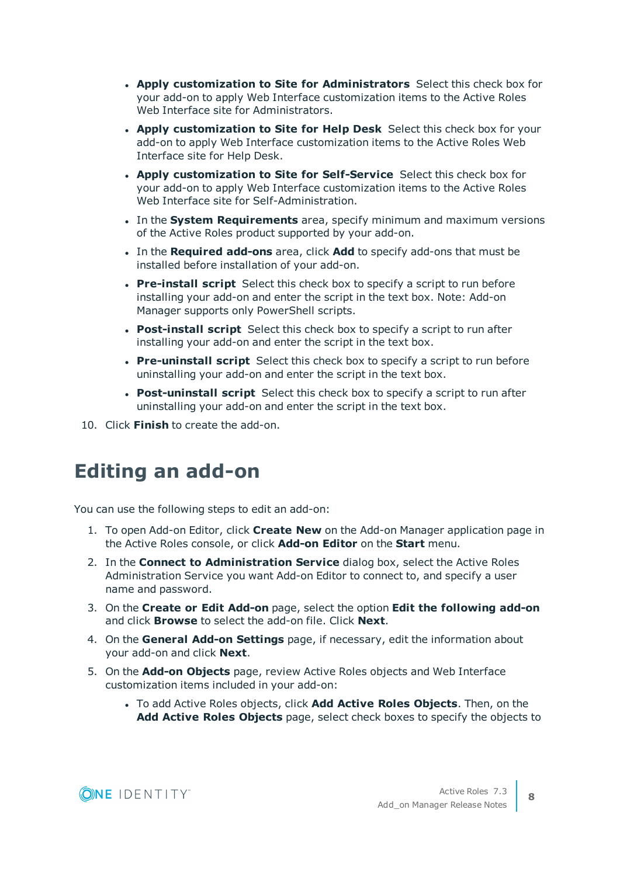- <sup>l</sup> **Apply customization to Site for Administrators** Select this check box for your add-on to apply Web Interface customization items to the Active Roles Web Interface site for Administrators.
- <sup>l</sup> **Apply customization to Site for Help Desk** Select this check box for your add-on to apply Web Interface customization items to the Active Roles Web Interface site for Help Desk.
- <sup>l</sup> **Apply customization to Site for Self-Service** Select this check box for your add-on to apply Web Interface customization items to the Active Roles Web Interface site for Self-Administration.
- **.** In the **System Requirements** area, specify minimum and maximum versions of the Active Roles product supported by your add-on.
- <sup>l</sup> In the **Required add-ons** area, click **Add** to specify add-ons that must be installed before installation of your add-on.
- **Pre-install script** Select this check box to specify a script to run before installing your add-on and enter the script in the text box. Note: Add-on Manager supports only PowerShell scripts.
- **Post-install script** Select this check box to specify a script to run after installing your add-on and enter the script in the text box.
- **Pre-uninstall script** Select this check box to specify a script to run before uninstalling your add-on and enter the script in the text box.
- <sup>l</sup> **Post-uninstall script** Select this check box to specify a script to run after uninstalling your add-on and enter the script in the text box.
- 10. Click **Finish** to create the add-on.

### **Editing an add-on**

You can use the following steps to edit an add-on:

- 1. To open Add-on Editor, click **Create New** on the Add-on Manager application page in the Active Roles console, or click **Add-on Editor** on the **Start** menu.
- 2. In the **Connect to Administration Service** dialog box, select the Active Roles Administration Service you want Add-on Editor to connect to, and specify a user name and password.
- 3. On the **Create or Edit Add-on** page, select the option **Edit the following add-on** and click **Browse** to select the add-on file. Click **Next**.
- 4. On the **General Add-on Settings** page, if necessary, edit the information about your add-on and click **Next**.
- 5. On the **Add-on Objects** page, review Active Roles objects and Web Interface customization items included in your add-on:
	- <sup>l</sup> To add Active Roles objects, click **Add Active Roles Objects**. Then, on the **Add Active Roles Objects** page, select check boxes to specify the objects to

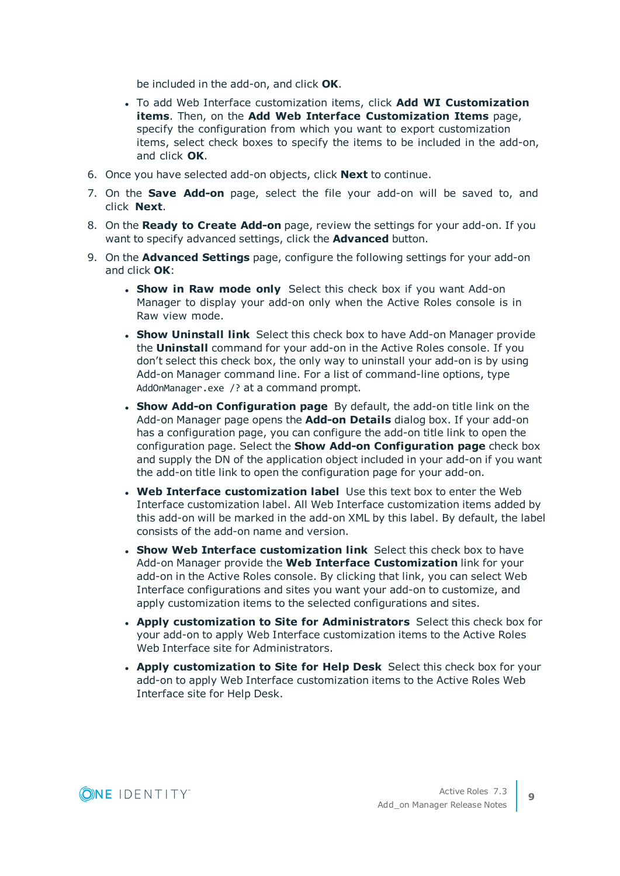be included in the add-on, and click **OK**.

- <sup>l</sup> To add Web Interface customization items, click **Add WI Customization items**. Then, on the **Add Web Interface Customization Items** page, specify the configuration from which you want to export customization items, select check boxes to specify the items to be included in the add-on, and click **OK**.
- 6. Once you have selected add-on objects, click **Next** to continue.
- 7. On the **Save Add-on** page, select the file your add-on will be saved to, and click **Next**.
- 8. On the **Ready to Create Add-on** page, review the settings for your add-on. If you want to specify advanced settings, click the **Advanced** button.
- 9. On the **Advanced Settings** page, configure the following settings for your add-on and click **OK**:
	- **. Show in Raw mode only** Select this check box if you want Add-on Manager to display your add-on only when the Active Roles console is in Raw view mode.
	- **. Show Uninstall link** Select this check box to have Add-on Manager provide the **Uninstall** command for your add-on in the Active Roles console. If you don't select this check box, the only way to uninstall your add-on is by using Add-on Manager command line. For a list of command-line options, type AddOnManager.exe /? at a command prompt.
	- <sup>l</sup> **Show Add-on Configuration page** By default, the add-on title link on the Add-on Manager page opens the **Add-on Details** dialog box. If your add-on has a configuration page, you can configure the add-on title link to open the configuration page. Select the **Show Add-on Configuration page** check box and supply the DN of the application object included in your add-on if you want the add-on title link to open the configuration page for your add-on.
	- <sup>l</sup> **Web Interface customization label** Use this text box to enter the Web Interface customization label. All Web Interface customization items added by this add-on will be marked in the add-on XML by this label. By default, the label consists of the add-on name and version.
	- <sup>l</sup> **Show Web Interface customization link** Select this check box to have Add-on Manager provide the **Web Interface Customization** link for your add-on in the Active Roles console. By clicking that link, you can select Web Interface configurations and sites you want your add-on to customize, and apply customization items to the selected configurations and sites.
	- <sup>l</sup> **Apply customization to Site for Administrators** Select this check box for your add-on to apply Web Interface customization items to the Active Roles Web Interface site for Administrators.
	- <sup>l</sup> **Apply customization to Site for Help Desk** Select this check box for your add-on to apply Web Interface customization items to the Active Roles Web Interface site for Help Desk.

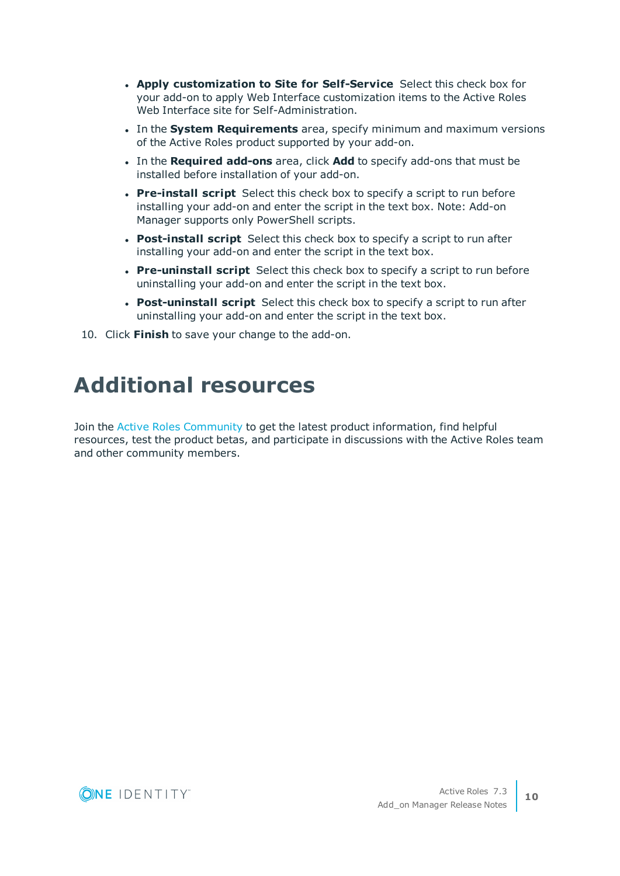- <sup>l</sup> **Apply customization to Site for Self-Service** Select this check box for your add-on to apply Web Interface customization items to the Active Roles Web Interface site for Self-Administration.
- **.** In the **System Requirements** area, specify minimum and maximum versions of the Active Roles product supported by your add-on.
- <sup>l</sup> In the **Required add-ons** area, click **Add** to specify add-ons that must be installed before installation of your add-on.
- **Pre-install script** Select this check box to specify a script to run before installing your add-on and enter the script in the text box. Note: Add-on Manager supports only PowerShell scripts.
- **Post-install script** Select this check box to specify a script to run after installing your add-on and enter the script in the text box.
- **Pre-uninstall script** Select this check box to specify a script to run before uninstalling your add-on and enter the script in the text box.
- **Post-uninstall script** Select this check box to specify a script to run after uninstalling your add-on and enter the script in the text box.
- <span id="page-9-0"></span>10. Click **Finish** to save your change to the add-on.

### **Additional resources**

Join the Active Roles [Community](https://www.quest.com/community/products/one-identity/f/active-roles) to get the latest product information, find helpful resources, test the product betas, and participate in discussions with the Active Roles team and other community members.

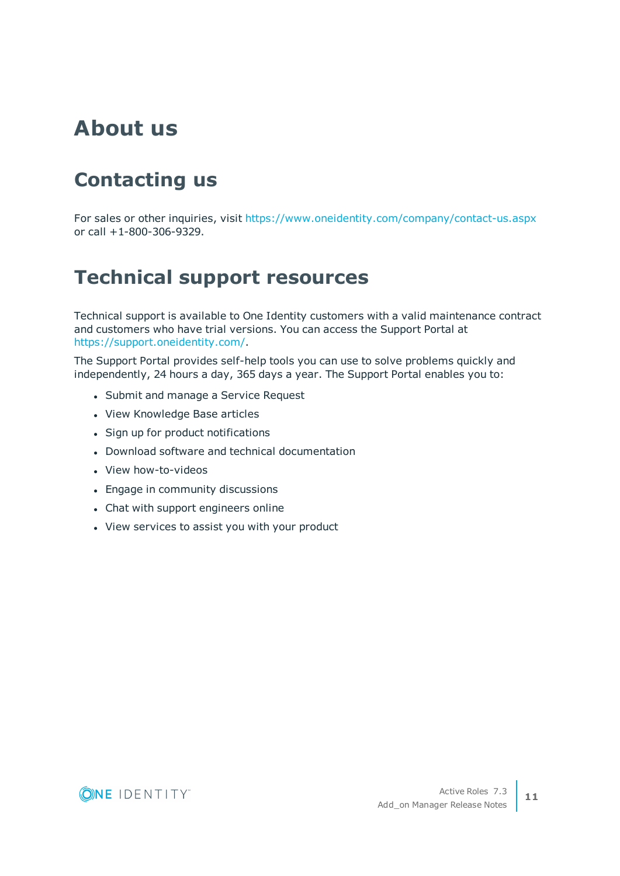### **About us**

## **Contacting us**

For sales or other inquiries, visit <https://www.oneidentity.com/company/contact-us.aspx> or call +1-800-306-9329.

### **Technical support resources**

Technical support is available to One Identity customers with a valid maintenance contract and customers who have trial versions. You can access the Support Portal at [https://support.oneidentity.com/.](https://support.oneidentity.com/)

The Support Portal provides self-help tools you can use to solve problems quickly and independently, 24 hours a day, 365 days a year. The Support Portal enables you to:

- Submit and manage a Service Request
- View Knowledge Base articles
- Sign up for product notifications
- Download software and technical documentation
- View how-to-videos
- Engage in community discussions
- Chat with support engineers online
- View services to assist you with your product

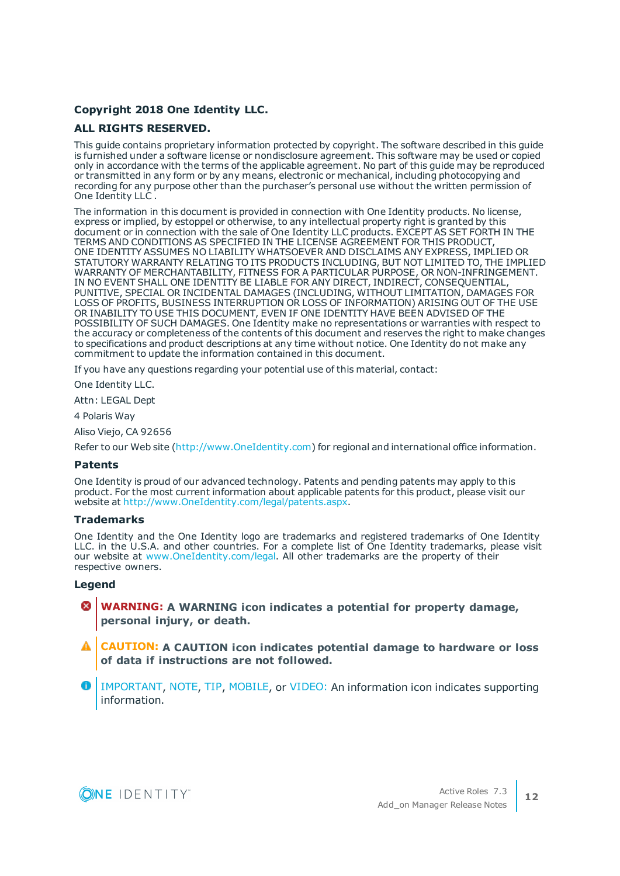#### **Copyright 2018 One Identity LLC.**

#### **ALL RIGHTS RESERVED.**

This guide contains proprietary information protected by copyright. The software described in this guide is furnished under a software license or nondisclosure agreement. This software may be used or copied only in accordance with the terms of the applicable agreement. No part of this guide may be reproduced or transmitted in any form or by any means, electronic or mechanical, including photocopying and recording for any purpose other than the purchaser's personal use without the written permission of One Identity LLC .

The information in this document is provided in connection with One Identity products. No license, express or implied, by estoppel or otherwise, to any intellectual property right is granted by this document or in connection with the sale of One Identity LLC products. EXCEPT AS SET FORTH IN THE TERMS AND CONDITIONS AS SPECIFIED IN THE LICENSE AGREEMENT FOR THIS PRODUCT, ONE IDENTITY ASSUMES NO LIABILITY WHATSOEVER AND DISCLAIMS ANY EXPRESS, IMPLIED OR STATUTORY WARRANTY RELATING TO ITS PRODUCTS INCLUDING, BUT NOT LIMITED TO, THE IMPLIED WARRANTY OF MERCHANTABILITY, FITNESS FOR A PARTICULAR PURPOSE, OR NON-INFRINGEMENT. IN NO EVENT SHALL ONE IDENTITY BE LIABLE FOR ANY DIRECT, INDIRECT, CONSEQUENTIAL, PUNITIVE, SPECIAL OR INCIDENTAL DAMAGES (INCLUDING, WITHOUT LIMITATION, DAMAGES FOR LOSS OF PROFITS, BUSINESS INTERRUPTION OR LOSS OF INFORMATION) ARISING OUT OF THE USE OR INABILITY TO USE THIS DOCUMENT, EVEN IF ONE IDENTITY HAVE BEEN ADVISED OF THE POSSIBILITY OF SUCH DAMAGES. One Identity make no representations or warranties with respect to the accuracy or completeness of the contents of this document and reserves the right to make changes to specifications and product descriptions at any time without notice. One Identity do not make any commitment to update the information contained in this document.

If you have any questions regarding your potential use of this material, contact:

One Identity LLC.

Attn: LEGAL Dept

4 Polaris Way

Aliso Viejo, CA 92656

Refer to our Web site [\(http://www.OneIdentity.com](http://www.oneidentity.com/)) for regional and international office information.

#### **Patents**

One Identity is proud of our advanced technology. Patents and pending patents may apply to this product. For the most current information about applicable patents for this product, please visit our website at [http://www.OneIdentity.com/legal/patents.aspx.](http://www.oneidentity.com/legal/patents.aspx)

#### **Trademarks**

One Identity and the One Identity logo are trademarks and registered trademarks of One Identity LLC. in the U.S.A. and other countries. For a complete list of One Identity trademarks, please visit our website at [www.OneIdentity.com/legal.](http://www.oneidentity.com/legal) All other trademarks are the property of their respective owners.

#### **Legend**

- **WARNING: A WARNING icon indicates a potential for property damage, personal injury, or death.**
- **CAUTION: A CAUTION icon indicates potential damage to hardware or loss of data if instructions are not followed.**
- IMPORTANT, NOTE, TIP, MOBILE, or VIDEO: An information icon indicates supporting information.